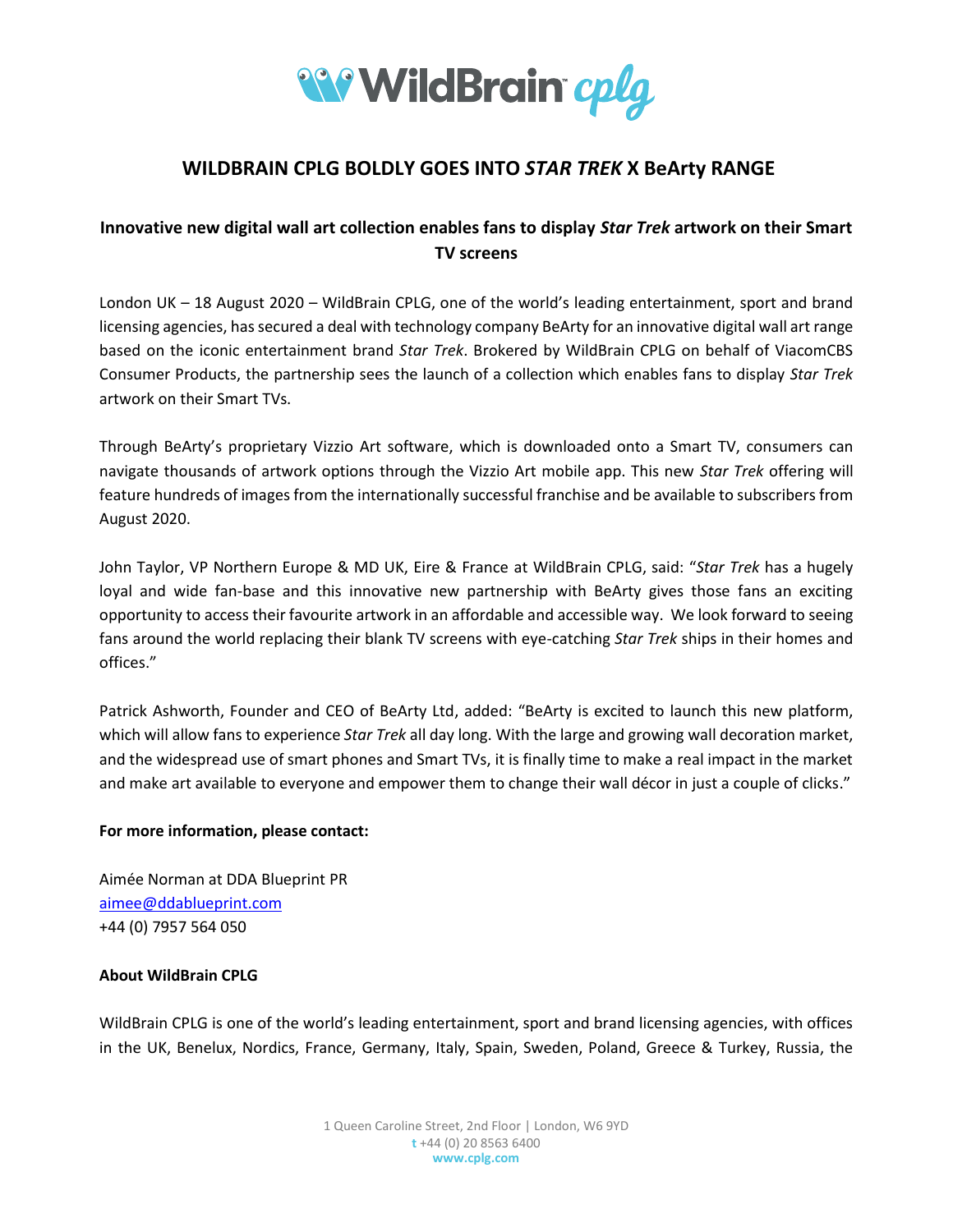

# **WILDBRAIN CPLG BOLDLY GOES INTO** *STAR TREK* **X BeArty RANGE**

## **Innovative new digital wall art collection enables fans to display** *Star Trek* **artwork on their Smart TV screens**

London UK – 18 August 2020 – WildBrain CPLG, one of the world's leading entertainment, sport and brand licensing agencies, has secured a deal with technology company BeArty for an innovative digital wall art range based on the iconic entertainment brand *Star Trek*. Brokered by WildBrain CPLG on behalf of ViacomCBS Consumer Products, the partnership sees the launch of a collection which enables fans to display *Star Trek* artwork on their Smart TVs.

Through BeArty's proprietary Vizzio Art software, which is downloaded onto a Smart TV, consumers can navigate thousands of artwork options through the Vizzio Art mobile app. This new *Star Trek* offering will feature hundreds of images from the internationally successful franchise and be available to subscribers from August 2020.

John Taylor, VP Northern Europe & MD UK, Eire & France at WildBrain CPLG, said: "*Star Trek* has a hugely loyal and wide fan-base and this innovative new partnership with BeArty gives those fans an exciting opportunity to access their favourite artwork in an affordable and accessible way. We look forward to seeing fans around the world replacing their blank TV screens with eye-catching *Star Trek* ships in their homes and offices."

Patrick Ashworth, Founder and CEO of BeArty Ltd, added: "BeArty is excited to launch this new platform, which will allow fans to experience *Star Trek* all day long. With the large and growing wall decoration market, and the widespread use of smart phones and Smart TVs, it is finally time to make a real impact in the market and make art available to everyone and empower them to change their wall décor in just a couple of clicks."

### **For more information, please contact:**

Aimée Norman at DDA Blueprint PR [aimee@ddablueprint.com](mailto:aimee@ddablueprint.com) +44 (0) 7957 564 050

## **About WildBrain CPLG**

WildBrain CPLG is one of the world's leading entertainment, sport and brand licensing agencies, with offices in the UK, Benelux, Nordics, France, Germany, Italy, Spain, Sweden, Poland, Greece & Turkey, Russia, the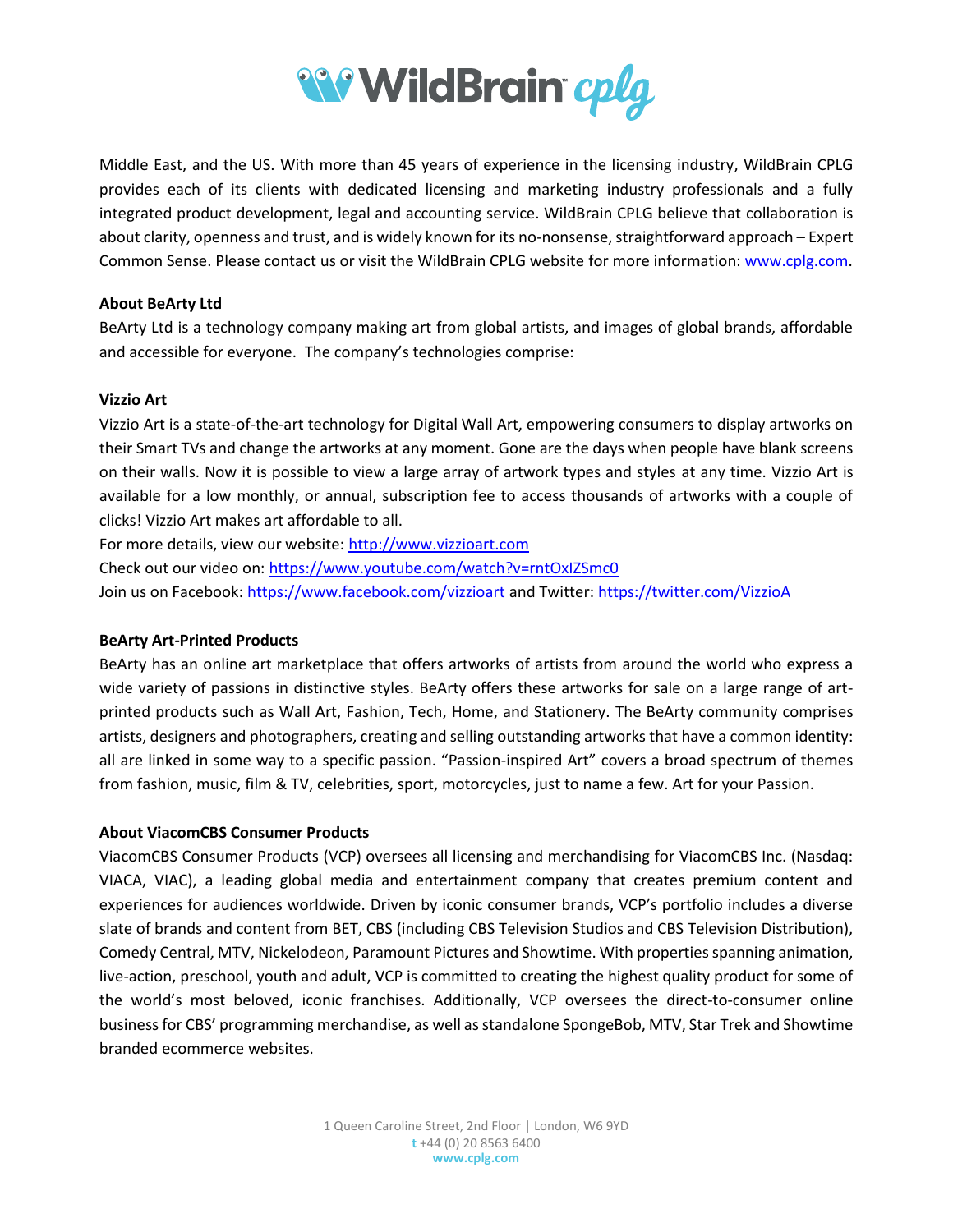

Middle East, and the US. With more than 45 years of experience in the licensing industry, WildBrain CPLG provides each of its clients with dedicated licensing and marketing industry professionals and a fully integrated product development, legal and accounting service. WildBrain CPLG believe that collaboration is about clarity, openness and trust, and is widely known for its no-nonsense, straightforward approach – Expert Common Sense. Please contact us or visit the WildBrain CPLG website for more information[: www.cplg.com.](http://www.cplg.com/)

### **About BeArty Ltd**

BeArty Ltd is a technology company making art from global artists, and images of global brands, affordable and accessible for everyone. The company's technologies comprise:

#### **Vizzio Art**

Vizzio Art is a state-of-the-art technology for Digital Wall Art, empowering consumers to display artworks on their Smart TVs and change the artworks at any moment. Gone are the days when people have blank screens on their walls. Now it is possible to view a large array of artwork types and styles at any time. Vizzio Art is available for a low monthly, or annual, subscription fee to access thousands of artworks with a couple of clicks! Vizzio Art makes art affordable to all.

For more details, view our website: [http://www.vizzioart.com](http://www.vizzioart.com/) 

Check out our video on[: https://www.youtube.com/watch?v=rntOxIZSmc0](https://www.youtube.com/watch?v=rntOxIZSmc0) Join us on Facebook:<https://www.facebook.com/vizzioart> and Twitter:<https://twitter.com/VizzioA>

#### **BeArty Art-Printed Products**

BeArty has an online art marketplace that offers artworks of artists from around the world who express a wide variety of passions in distinctive styles. BeArty offers these artworks for sale on a large range of artprinted products such as Wall Art, Fashion, Tech, Home, and Stationery. The BeArty community comprises artists, designers and photographers, creating and selling outstanding artworks that have a common identity: all are linked in some way to a specific passion. "Passion-inspired Art" covers a broad spectrum of themes from fashion, music, film & TV, celebrities, sport, motorcycles, just to name a few. Art for your Passion.

### **About ViacomCBS Consumer Products**

ViacomCBS Consumer Products (VCP) oversees all licensing and merchandising for ViacomCBS Inc. (Nasdaq: VIACA, VIAC), a leading global media and entertainment company that creates premium content and experiences for audiences worldwide. Driven by iconic consumer brands, VCP's portfolio includes a diverse slate of brands and content from BET, CBS (including CBS Television Studios and CBS Television Distribution), Comedy Central, MTV, Nickelodeon, Paramount Pictures and Showtime. With properties spanning animation, live-action, preschool, youth and adult, VCP is committed to creating the highest quality product for some of the world's most beloved, iconic franchises. Additionally, VCP oversees the direct-to-consumer online business for CBS' programming merchandise, as well as standalone SpongeBob, MTV, Star Trek and Showtime branded ecommerce websites.